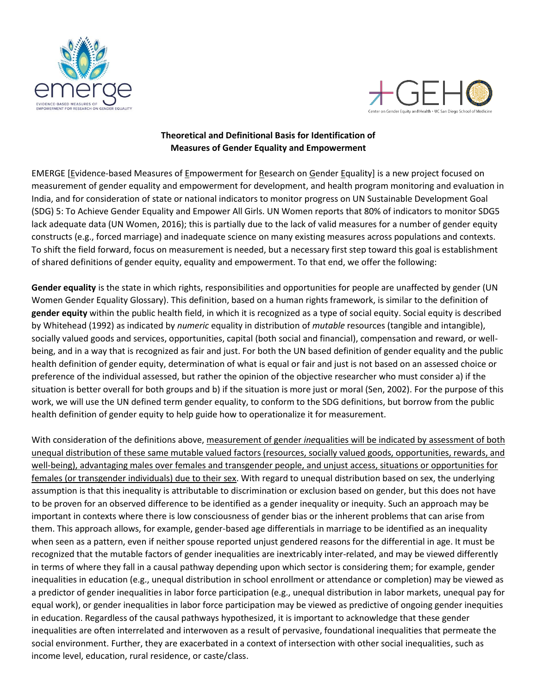



## **Theoretical and Definitional Basis for Identification of Measures of Gender Equality and Empowerment**

EMERGE [Evidence-based Measures of Empowerment for Research on Gender Equality] is a new project focused on measurement of gender equality and empowerment for development, and health program monitoring and evaluation in India, and for consideration of state or national indicators to monitor progress on UN Sustainable Development Goal (SDG) 5: To Achieve Gender Equality and Empower All Girls. UN Women reports that 80% of indicators to monitor SDG5 lack adequate data (UN Women, 2016); this is partially due to the lack of valid measures for a number of gender equity constructs (e.g., forced marriage) and inadequate science on many existing measures across populations and contexts. To shift the field forward, focus on measurement is needed, but a necessary first step toward this goal is establishment of shared definitions of gender equity, equality and empowerment. To that end, we offer the following:

**Gender equality** is the state in which rights, responsibilities and opportunities for people are unaffected by gender (UN Women Gender Equality Glossary). This definition, based on a human rights framework, is similar to the definition of **gender equity** within the public health field, in which it is recognized as a type of social equity. Social equity is described by Whitehead (1992) as indicated by *numeric* equality in distribution of *mutable* resources (tangible and intangible), socially valued goods and services, opportunities, capital (both social and financial), compensation and reward, or wellbeing, and in a way that is recognized as fair and just. For both the UN based definition of gender equality and the public health definition of gender equity, determination of what is equal or fair and just is not based on an assessed choice or preference of the individual assessed, but rather the opinion of the objective researcher who must consider a) if the situation is better overall for both groups and b) if the situation is more just or moral (Sen, 2002). For the purpose of this work, we will use the UN defined term gender equality, to conform to the SDG definitions, but borrow from the public health definition of gender equity to help guide how to operationalize it for measurement.

With consideration of the definitions above, measurement of gender *ine*qualities will be indicated by assessment of both unequal distribution of these same mutable valued factors (resources, socially valued goods, opportunities, rewards, and well-being), advantaging males over females and transgender people, and unjust access, situations or opportunities for females (or transgender individuals) due to their sex. With regard to unequal distribution based on sex, the underlying assumption is that this inequality is attributable to discrimination or exclusion based on gender, but this does not have to be proven for an observed difference to be identified as a gender inequality or inequity. Such an approach may be important in contexts where there is low consciousness of gender bias or the inherent problems that can arise from them. This approach allows, for example, gender-based age differentials in marriage to be identified as an inequality when seen as a pattern, even if neither spouse reported unjust gendered reasons for the differential in age. It must be recognized that the mutable factors of gender inequalities are inextricably inter-related, and may be viewed differently in terms of where they fall in a causal pathway depending upon which sector is considering them; for example, gender inequalities in education (e.g., unequal distribution in school enrollment or attendance or completion) may be viewed as a predictor of gender inequalities in labor force participation (e.g., unequal distribution in labor markets, unequal pay for equal work), or gender inequalities in labor force participation may be viewed as predictive of ongoing gender inequities in education. Regardless of the causal pathways hypothesized, it is important to acknowledge that these gender inequalities are often interrelated and interwoven as a result of pervasive, foundational inequalities that permeate the social environment. Further, they are exacerbated in a context of intersection with other social inequalities, such as income level, education, rural residence, or caste/class.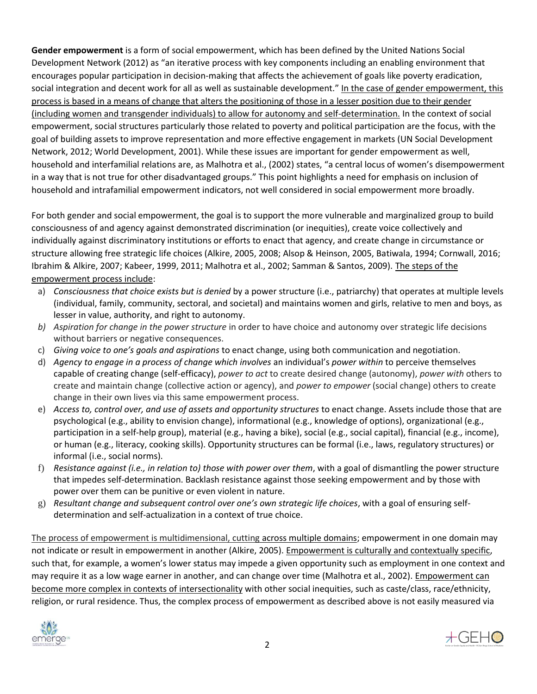**Gender empowerment** is a form of social empowerment, which has been defined by the United Nations Social Development Network (2012) as "an iterative process with key components including an enabling environment that encourages popular participation in decision-making that affects the achievement of goals like poverty eradication, social integration and decent work for all as well as sustainable development." In the case of gender empowerment, this process is based in a means of change that alters the positioning of those in a lesser position due to their gender (including women and transgender individuals) to allow for autonomy and self-determination. In the context of social empowerment, social structures particularly those related to poverty and political participation are the focus, with the goal of building assets to improve representation and more effective engagement in markets (UN Social Development Network, 2012; World Development, 2001). While these issues are important for gender empowerment as well, household and interfamilial relations are, as Malhotra et al., (2002) states, "a central locus of women's disempowerment in a way that is not true for other disadvantaged groups." This point highlights a need for emphasis on inclusion of household and intrafamilial empowerment indicators, not well considered in social empowerment more broadly.

For both gender and social empowerment, the goal is to support the more vulnerable and marginalized group to build consciousness of and agency against demonstrated discrimination (or inequities), create voice collectively and individually against discriminatory institutions or efforts to enact that agency, and create change in circumstance or structure allowing free strategic life choices (Alkire, 2005, 2008; Alsop & Heinson, 2005, Batiwala, 1994; Cornwall, 2016; Ibrahim & Alkire, 2007; Kabeer, 1999, 2011; Malhotra et al., 2002; Samman & Santos, 2009). The steps of the empowerment process include:

- a) *Consciousness that choice exists but is denied* by a power structure (i.e., patriarchy) that operates at multiple levels (individual, family, community, sectoral, and societal) and maintains women and girls, relative to men and boys, as lesser in value, authority, and right to autonomy.
- *b) Aspiration for change in the power structure* in order to have choice and autonomy over strategic life decisions without barriers or negative consequences.
- c) *Giving voice to one's goals and aspirations* to enact change, using both communication and negotiation.
- d) *Agency to engage in a process of change which involves* an individual's *power within* to perceive themselves capable of creating change (self-efficacy), *power to act* to create desired change (autonomy), *power with* others to create and maintain change (collective action or agency), and *power to empower* (social change) others to create change in their own lives via this same empowerment process.
- e) *Access to, control over, and use of assets and opportunity structures* to enact change. Assets include those that are psychological (e.g., ability to envision change), informational (e.g., knowledge of options), organizational (e.g., participation in a self-help group), material (e.g., having a bike), social (e.g., social capital), financial (e.g., income), or human (e.g., literacy, cooking skills). Opportunity structures can be formal (i.e., laws, regulatory structures) or informal (i.e., social norms).
- f) *Resistance against (i.e., in relation to) those with power over them*, with a goal of dismantling the power structure that impedes self-determination. Backlash resistance against those seeking empowerment and by those with power over them can be punitive or even violent in nature.
- g) *Resultant change and subsequent control over one's own strategic life choices*, with a goal of ensuring selfdetermination and self-actualization in a context of true choice.

The process of empowerment is multidimensional, cutting across multiple domains; empowerment in one domain may not indicate or result in empowerment in another (Alkire, 2005). Empowerment is culturally and contextually specific, such that, for example, a women's lower status may impede a given opportunity such as employment in one context and may require it as a low wage earner in another, and can change over time (Malhotra et al., 2002). Empowerment can become more complex in contexts of intersectionality with other social inequities, such as caste/class, race/ethnicity, religion, or rural residence. Thus, the complex process of empowerment as described above is not easily measured via



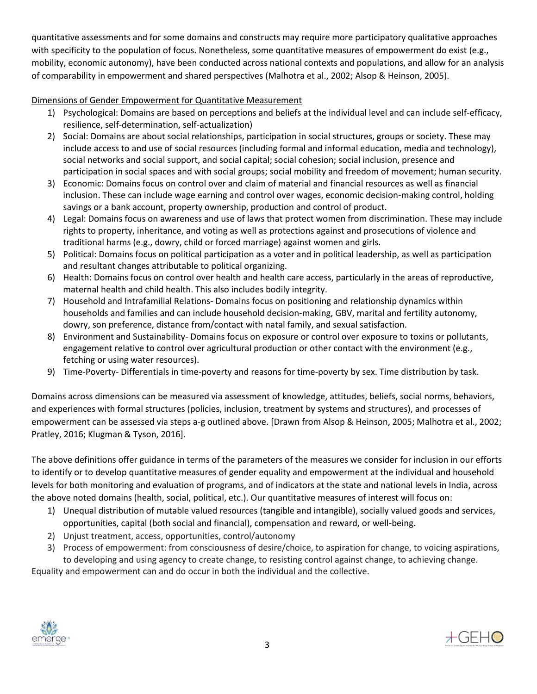quantitative assessments and for some domains and constructs may require more participatory qualitative approaches with specificity to the population of focus. Nonetheless, some quantitative measures of empowerment do exist (e.g., mobility, economic autonomy), have been conducted across national contexts and populations, and allow for an analysis of comparability in empowerment and shared perspectives (Malhotra et al., 2002; Alsop & Heinson, 2005).

## Dimensions of Gender Empowerment for Quantitative Measurement

- 1) Psychological: Domains are based on perceptions and beliefs at the individual level and can include self-efficacy, resilience, self-determination, self-actualization)
- 2) Social: Domains are about social relationships, participation in social structures, groups or society. These may include access to and use of social resources (including formal and informal education, media and technology), social networks and social support, and social capital; social cohesion; social inclusion, presence and participation in social spaces and with social groups; social mobility and freedom of movement; human security.
- 3) Economic: Domains focus on control over and claim of material and financial resources as well as financial inclusion. These can include wage earning and control over wages, economic decision-making control, holding savings or a bank account, property ownership, production and control of product.
- 4) Legal: Domains focus on awareness and use of laws that protect women from discrimination. These may include rights to property, inheritance, and voting as well as protections against and prosecutions of violence and traditional harms (e.g., dowry, child or forced marriage) against women and girls.
- 5) Political: Domains focus on political participation as a voter and in political leadership, as well as participation and resultant changes attributable to political organizing.
- 6) Health: Domains focus on control over health and health care access, particularly in the areas of reproductive, maternal health and child health. This also includes bodily integrity.
- 7) Household and Intrafamilial Relations- Domains focus on positioning and relationship dynamics within households and families and can include household decision-making, GBV, marital and fertility autonomy, dowry, son preference, distance from/contact with natal family, and sexual satisfaction.
- 8) Environment and Sustainability- Domains focus on exposure or control over exposure to toxins or pollutants, engagement relative to control over agricultural production or other contact with the environment (e.g., fetching or using water resources).
- 9) Time-Poverty- Differentials in time-poverty and reasons for time-poverty by sex. Time distribution by task.

Domains across dimensions can be measured via assessment of knowledge, attitudes, beliefs, social norms, behaviors, and experiences with formal structures (policies, inclusion, treatment by systems and structures), and processes of empowerment can be assessed via steps a-g outlined above. [Drawn from Alsop & Heinson, 2005; Malhotra et al., 2002; Pratley, 2016; Klugman & Tyson, 2016].

The above definitions offer guidance in terms of the parameters of the measures we consider for inclusion in our efforts to identify or to develop quantitative measures of gender equality and empowerment at the individual and household levels for both monitoring and evaluation of programs, and of indicators at the state and national levels in India, across the above noted domains (health, social, political, etc.). Our quantitative measures of interest will focus on:

- 1) Unequal distribution of mutable valued resources (tangible and intangible), socially valued goods and services, opportunities, capital (both social and financial), compensation and reward, or well-being.
- 2) Unjust treatment, access, opportunities, control/autonomy
- 3) Process of empowerment: from consciousness of desire/choice, to aspiration for change, to voicing aspirations, to developing and using agency to create change, to resisting control against change, to achieving change. Equality and empowerment can and do occur in both the individual and the collective.